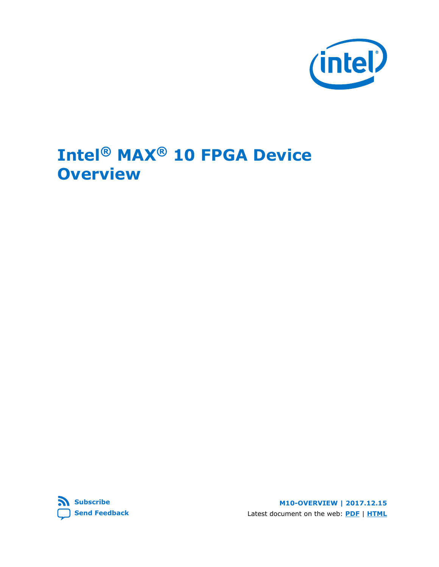

# **Intel® MAX® 10 FPGA Device Overview**

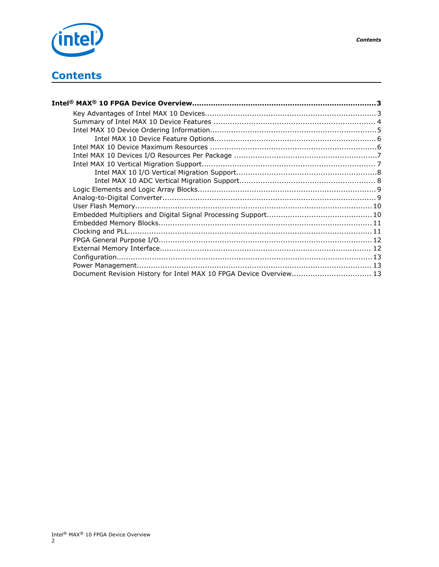

| Document Revision History for Intel MAX 10 FPGA Device Overview 13 |  |
|--------------------------------------------------------------------|--|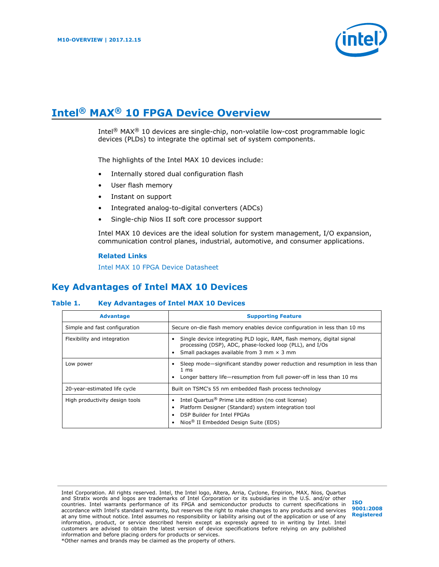

# <span id="page-2-0"></span>**Intel® MAX® 10 FPGA Device Overview**

Intel® MAX® 10 devices are single-chip, non-volatile low-cost programmable logic devices (PLDs) to integrate the optimal set of system components.

The highlights of the Intel MAX 10 devices include:

- Internally stored dual configuration flash
- User flash memory
- Instant on support
- Integrated analog-to-digital converters (ADCs)
- Single-chip Nios II soft core processor support

Intel MAX 10 devices are the ideal solution for system management, I/O expansion, communication control planes, industrial, automotive, and consumer applications.

#### **Related Links**

[Intel MAX 10 FPGA Device Datasheet](https://www.altera.com/documentation/mcn1397700832153.html#mcn1397643748870)

# **Key Advantages of Intel MAX 10 Devices**

#### **Table 1. Key Advantages of Intel MAX 10 Devices**

| <b>Advantage</b>               | <b>Supporting Feature</b>                                                                                                                                                                                  |  |  |  |  |
|--------------------------------|------------------------------------------------------------------------------------------------------------------------------------------------------------------------------------------------------------|--|--|--|--|
| Simple and fast configuration  | Secure on-die flash memory enables device configuration in less than 10 ms                                                                                                                                 |  |  |  |  |
| Flexibility and integration    | Single device integrating PLD logic, RAM, flash memory, digital signal<br>processing (DSP), ADC, phase-locked loop (PLL), and I/Os<br>Small packages available from 3 mm $\times$ 3 mm                     |  |  |  |  |
| Low power                      | Sleep mode—significant standby power reduction and resumption in less than<br>$1 \text{ ms}$<br>Longer battery life—resumption from full power-off in less than 10 ms                                      |  |  |  |  |
| 20-year-estimated life cycle   | Built on TSMC's 55 nm embedded flash process technology                                                                                                                                                    |  |  |  |  |
| High productivity design tools | Intel Quartus <sup>®</sup> Prime Lite edition (no cost license)<br>Platform Designer (Standard) system integration tool<br>DSP Builder for Intel FPGAs<br>Nios <sup>®</sup> II Embedded Design Suite (EDS) |  |  |  |  |

Intel Corporation. All rights reserved. Intel, the Intel logo, Altera, Arria, Cyclone, Enpirion, MAX, Nios, Quartus and Stratix words and logos are trademarks of Intel Corporation or its subsidiaries in the U.S. and/or other countries. Intel warrants performance of its FPGA and semiconductor products to current specifications in accordance with Intel's standard warranty, but reserves the right to make changes to any products and services at any time without notice. Intel assumes no responsibility or liability arising out of the application or use of any information, product, or service described herein except as expressly agreed to in writing by Intel. Intel customers are advised to obtain the latest version of device specifications before relying on any published information and before placing orders for products or services. \*Other names and brands may be claimed as the property of others.

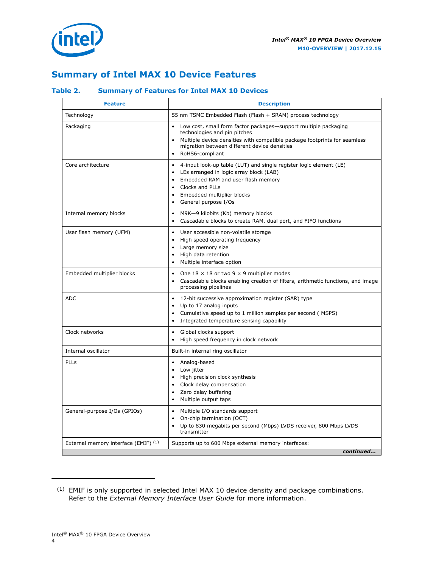<span id="page-3-0"></span>

### **Summary of Intel MAX 10 Device Features**

### **Table 2. Summary of Features for Intel MAX 10 Devices**

| <b>Feature</b>                       | <b>Description</b>                                                                                                                                                                                                                                           |
|--------------------------------------|--------------------------------------------------------------------------------------------------------------------------------------------------------------------------------------------------------------------------------------------------------------|
| Technology                           | 55 nm TSMC Embedded Flash (Flash + SRAM) process technology                                                                                                                                                                                                  |
| Packaging                            | Low cost, small form factor packages-support multiple packaging<br>$\bullet$<br>technologies and pin pitches<br>Multiple device densities with compatible package footprints for seamless<br>migration between different device densities<br>RoHS6-compliant |
| Core architecture                    | 4-input look-up table (LUT) and single register logic element (LE)<br>LEs arranged in logic array block (LAB)<br>$\bullet$<br>Embedded RAM and user flash memory<br>Clocks and PLLs<br>$\bullet$<br>Embedded multiplier blocks<br>General purpose I/Os       |
| Internal memory blocks               | M9K-9 kilobits (Kb) memory blocks<br>$\bullet$<br>Cascadable blocks to create RAM, dual port, and FIFO functions<br>$\bullet$                                                                                                                                |
| User flash memory (UFM)              | User accessible non-volatile storage<br>$\bullet$<br>High speed operating frequency<br>$\bullet$<br>Large memory size<br>$\bullet$<br>High data retention<br>$\bullet$<br>Multiple interface option                                                          |
| Embedded multiplier blocks           | One $18 \times 18$ or two 9 $\times$ 9 multiplier modes<br>$\bullet$<br>Cascadable blocks enabling creation of filters, arithmetic functions, and image<br>processing pipelines                                                                              |
| <b>ADC</b>                           | $\bullet$<br>12-bit successive approximation register (SAR) type<br>Up to 17 analog inputs<br>$\bullet$<br>Cumulative speed up to 1 million samples per second (MSPS)<br>Integrated temperature sensing capability                                           |
| Clock networks                       | Global clocks support<br>$\bullet$<br>High speed frequency in clock network                                                                                                                                                                                  |
| Internal oscillator                  | Built-in internal ring oscillator                                                                                                                                                                                                                            |
| PLLs                                 | Analog-based<br>Low jitter<br>$\bullet$<br>• High precision clock synthesis<br>• Clock delay compensation<br>Zero delay buffering<br>$\bullet$<br>Multiple output taps<br>$\bullet$                                                                          |
| General-purpose I/Os (GPIOs)         | • Multiple I/O standards support<br>On-chip termination (OCT)<br>$\bullet$<br>Up to 830 megabits per second (Mbps) LVDS receiver, 800 Mbps LVDS<br>$\bullet$<br>transmitter                                                                                  |
| External memory interface (EMIF) (1) | Supports up to 600 Mbps external memory interfaces:<br>continued                                                                                                                                                                                             |
|                                      |                                                                                                                                                                                                                                                              |

<sup>(1)</sup> EMIF is only supported in selected Intel MAX 10 device density and package combinations. Refer to the *External Memory Interface User Guide* for more information.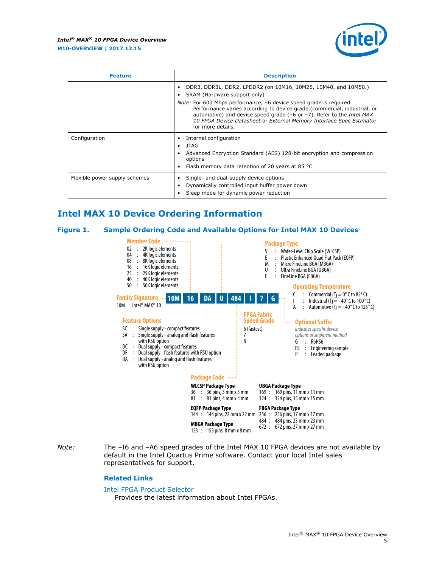

<span id="page-4-0"></span>

| <b>Feature</b>                | <b>Description</b>                                                                                                                                                                                                                                                                                                                      |  |  |  |  |
|-------------------------------|-----------------------------------------------------------------------------------------------------------------------------------------------------------------------------------------------------------------------------------------------------------------------------------------------------------------------------------------|--|--|--|--|
|                               | DDR3, DDR3L, DDR2, LPDDR2 (on 10M16, 10M25, 10M40, and 10M50.)<br>SRAM (Hardware support only)                                                                                                                                                                                                                                          |  |  |  |  |
|                               | Note: For 600 Mbps performance, -6 device speed grade is required.<br>Performance varies according to device grade (commercial, industrial, or<br>automotive) and device speed grade $(-6 \text{ or } -7)$ . Refer to the <i>Intel MAX</i><br>10 FPGA Device Datasheet or External Memory Interface Spec Estimator<br>for more details. |  |  |  |  |
| Configuration                 | Internal configuration                                                                                                                                                                                                                                                                                                                  |  |  |  |  |
|                               | JTAG<br>$\bullet$<br>Advanced Encryption Standard (AES) 128-bit encryption and compression<br>options<br>Flash memory data retention of 20 years at 85 °C                                                                                                                                                                               |  |  |  |  |
| Flexible power supply schemes | Single- and dual-supply device options<br>Dynamically controlled input buffer power down<br>Sleep mode for dynamic power reduction                                                                                                                                                                                                      |  |  |  |  |

# **Intel MAX 10 Device Ordering Information**

#### **Figure 1. Sample Ordering Code and Available Options for Intel MAX 10 Devices**



*Note:* The –I6 and –A6 speed grades of the Intel MAX 10 FPGA devices are not available by default in the Intel Quartus Prime software. Contact your local Intel sales representatives for support.

#### **Related Links**

#### [Intel FPGA Product Selector](http://www.altera.com/products/selector/psg-selector.html)

Provides the latest information about Intel FPGAs.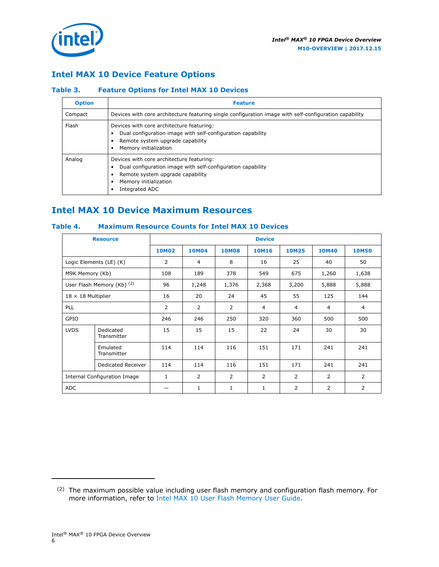<span id="page-5-0"></span>

### **Intel MAX 10 Device Feature Options**

#### **Table 3. Feature Options for Intel MAX 10 Devices**

| <b>Option</b> | <b>Feature</b>                                                                                                                                                                          |
|---------------|-----------------------------------------------------------------------------------------------------------------------------------------------------------------------------------------|
| Compact       | Devices with core architecture featuring single configuration image with self-configuration capability                                                                                  |
| Flash         | Devices with core architecture featuring:<br>Dual configuration image with self-configuration capability<br>Remote system upgrade capability<br>Memory initialization                   |
| Analog        | Devices with core architecture featuring:<br>Dual configuration image with self-configuration capability<br>Remote system upgrade capability<br>Memory initialization<br>Integrated ADC |

### **Intel MAX 10 Device Maximum Resources**

### **Table 4. Maximum Resource Counts for Intel MAX 10 Devices**

|                              | <b>Resource</b>            |                |                |                | <b>Device</b>  |                |                |                |
|------------------------------|----------------------------|----------------|----------------|----------------|----------------|----------------|----------------|----------------|
|                              |                            | <b>10M02</b>   | <b>10M04</b>   | <b>10M08</b>   | <b>10M16</b>   | <b>10M25</b>   | <b>10M40</b>   | <b>10M50</b>   |
|                              | Logic Elements (LE) (K)    | 2              | 4              | 8              | 16             | 25             | 40             | 50             |
| M9K Memory (Kb)              |                            | 108            | 189            | 378            | 549            | 675            | 1,260          | 1,638          |
|                              | User Flash Memory (Kb) (2) | 96             | 1,248          | 1,376          | 2,368          | 3,200          | 5,888          | 5,888          |
| $18 \times 18$ Multiplier    |                            | 16             | 20             | 24             | 45             | 55             | 125            | 144            |
| <b>PLL</b>                   |                            | $\overline{2}$ | $\overline{2}$ | 2              | 4              | $\overline{4}$ | 4              | $\overline{4}$ |
| GPIO                         |                            | 246            | 246            | 250            | 320            | 360            | 500            | 500            |
| <b>LVDS</b>                  | Dedicated<br>Transmitter   | 15             | 15             | 15             | 22             | 24             | 30             | 30             |
|                              | Emulated<br>Transmitter    | 114            | 114            | 116            | 151            | 171            | 241            | 241            |
|                              | Dedicated Receiver         | 114            | 114            | 116            | 151            | 171            | 241            | 241            |
| Internal Configuration Image |                            | $\mathbf{1}$   | $\overline{2}$ | $\overline{2}$ | $\overline{2}$ | 2              | $\overline{2}$ | $\overline{2}$ |
| <b>ADC</b>                   |                            |                | 1              | 1              | 1              | $\overline{2}$ | 2              | 2              |

<sup>(2)</sup> The maximum possible value including user flash memory and configuration flash memory. For more information, refer to [Intel MAX 10 User Flash Memory User Guide](https://www.altera.com/documentation/vgo1395753117436.html#vgo1395811844282).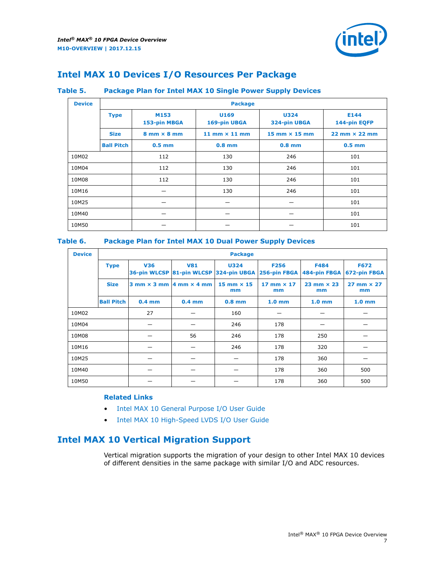

## <span id="page-6-0"></span>**Intel MAX 10 Devices I/O Resources Per Package**

### **Table 5. Package Plan for Intel MAX 10 Single Power Supply Devices**

| <b>Device</b> | <b>Package</b>    |                                    |                      |                             |                                      |  |  |  |
|---------------|-------------------|------------------------------------|----------------------|-----------------------------|--------------------------------------|--|--|--|
|               | <b>Type</b>       | M153<br>153-pin MBGA               | U169<br>169-pin UBGA | <b>U324</b><br>324-pin UBGA | E144<br>144-pin EQFP                 |  |  |  |
|               | <b>Size</b>       | $8 \text{ mm} \times 8 \text{ mm}$ | 11 mm $\times$ 11 mm | $15$ mm $\times$ 15 mm      | $22 \text{ mm} \times 22 \text{ mm}$ |  |  |  |
|               | <b>Ball Pitch</b> | $0.5$ mm                           | $0.8$ mm             | $0.8$ mm                    | $0.5$ mm                             |  |  |  |
| 10M02         |                   | 112                                | 130                  | 246                         | 101                                  |  |  |  |
| 10M04         |                   | 112                                | 130                  | 246                         | 101                                  |  |  |  |
| 10M08         |                   | 112                                | 130                  | 246                         | 101                                  |  |  |  |
| 10M16         |                   |                                    | 130                  | 246                         | 101                                  |  |  |  |
| 10M25         |                   |                                    |                      |                             | 101                                  |  |  |  |
| 10M40         |                   |                                    | –                    | –                           | 101                                  |  |  |  |
| 10M50         |                   |                                    |                      |                             | 101                                  |  |  |  |

### **Table 6. Package Plan for Intel MAX 10 Dual Power Supply Devices**

| <b>Device</b> |                   | <b>Package</b> |                                                |                                                       |                             |                             |                             |  |  |
|---------------|-------------------|----------------|------------------------------------------------|-------------------------------------------------------|-----------------------------|-----------------------------|-----------------------------|--|--|
|               | <b>Type</b>       | <b>V36</b>     | <b>V81</b>                                     | <b>U324</b><br>36-pin WLCSP 81-pin WLCSP 324-pin UBGA | <b>F256</b><br>256-pin FBGA | <b>F484</b><br>484-pin FBGA | <b>F672</b><br>672-pin FBGA |  |  |
|               | <b>Size</b>       |                | $3$ mm $\times$ 3 mm $ 4$ mm $\times$ 4 mm $ $ | $15 \text{ mm} \times 15$<br>mm                       | $17$ mm $\times$ 17<br>mm   | $23$ mm $\times$ 23<br>mm   | $27$ mm $\times$ 27<br>mm   |  |  |
|               | <b>Ball Pitch</b> | $0.4$ mm       | $0.4$ mm                                       | $0.8$ mm                                              | 1.0 <sub>mm</sub>           | 1.0 <sub>mm</sub>           | 1.0 <sub>mm</sub>           |  |  |
| 10M02         |                   | 27             |                                                | 160                                                   |                             |                             |                             |  |  |
| 10M04         |                   |                |                                                | 246                                                   | 178                         |                             |                             |  |  |
| 10M08         |                   |                | 56                                             | 246                                                   | 178                         | 250                         |                             |  |  |
| 10M16         |                   |                |                                                | 246                                                   | 178                         | 320                         |                             |  |  |
| 10M25         |                   |                |                                                |                                                       | 178                         | 360                         |                             |  |  |
| 10M40         |                   |                |                                                |                                                       | 178                         | 360                         | 500                         |  |  |
| 10M50         |                   |                |                                                |                                                       | 178                         | 360                         | 500                         |  |  |

### **Related Links**

- [Intel MAX 10 General Purpose I/O User Guide](https://www.altera.com/documentation/sam1393999966669.html#sam1394000084476)
- [Intel MAX 10 High-Speed LVDS I/O User Guide](https://www.altera.com/documentation/sam1394433606063.html#sam1394433911642)

### **Intel MAX 10 Vertical Migration Support**

Vertical migration supports the migration of your design to other Intel MAX 10 devices of different densities in the same package with similar I/O and ADC resources.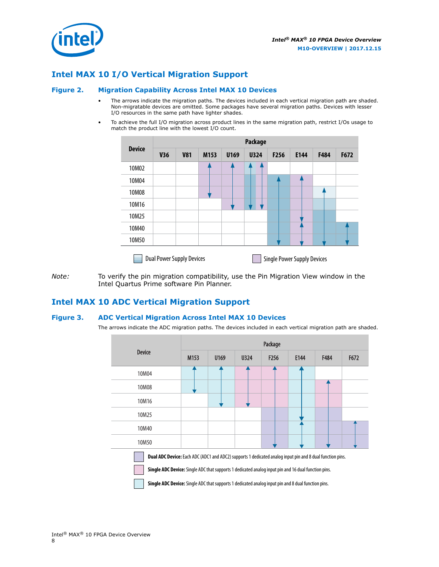<span id="page-7-0"></span>

### **Intel MAX 10 I/O Vertical Migration Support**

#### **Figure 2. Migration Capability Across Intel MAX 10 Devices**

- The arrows indicate the migration paths. The devices included in each vertical migration path are shaded. Non-migratable devices are omitted. Some packages have several migration paths. Devices with lesser I/O resources in the same path have lighter shades.
- To achieve the full I/O migration across product lines in the same migration path, restrict I/Os usage to match the product line with the lowest I/O count.

|               | <b>Package</b>                   |            |      |      |             |      |                                    |      |      |
|---------------|----------------------------------|------------|------|------|-------------|------|------------------------------------|------|------|
| <b>Device</b> | <b>V36</b>                       | <b>V81</b> | M153 | U169 | <b>U324</b> | F256 | E144                               | F484 | F672 |
| 10M02         |                                  |            |      |      |             |      |                                    |      |      |
| 10M04         |                                  |            |      |      |             |      |                                    |      |      |
| 10M08         |                                  |            |      |      |             |      |                                    |      |      |
| 10M16         |                                  |            |      |      |             |      |                                    |      |      |
| 10M25         |                                  |            |      |      |             |      |                                    |      |      |
| 10M40         |                                  |            |      |      |             |      |                                    |      |      |
| 10M50         |                                  |            |      |      |             |      |                                    |      |      |
|               | <b>Dual Power Supply Devices</b> |            |      |      |             |      | <b>Single Power Supply Devices</b> |      |      |

*Note:* To verify the pin migration compatibility, use the Pin Migration View window in the Intel Quartus Prime software Pin Planner.

### **Intel MAX 10 ADC Vertical Migration Support**

#### **Figure 3. ADC Vertical Migration Across Intel MAX 10 Devices**

The arrows indicate the ADC migration paths. The devices included in each vertical migration path are shaded.

|                                                                                                                                                                                                                         | Package          |      |      |                  |      |      |      |  |  |
|-------------------------------------------------------------------------------------------------------------------------------------------------------------------------------------------------------------------------|------------------|------|------|------------------|------|------|------|--|--|
| <b>Device</b>                                                                                                                                                                                                           | M <sub>153</sub> | U169 | U324 | F <sub>256</sub> | E144 | F484 | F672 |  |  |
| 10M04                                                                                                                                                                                                                   |                  |      |      |                  |      |      |      |  |  |
| 10M08                                                                                                                                                                                                                   |                  |      |      |                  |      |      |      |  |  |
| 10M16                                                                                                                                                                                                                   |                  |      |      |                  |      |      |      |  |  |
| 10M25                                                                                                                                                                                                                   |                  |      |      |                  |      |      |      |  |  |
| 10M40                                                                                                                                                                                                                   |                  |      |      |                  |      |      |      |  |  |
| 10M50                                                                                                                                                                                                                   |                  |      |      |                  |      |      |      |  |  |
| <b>Dual ADC Device:</b> Each ADC (ADC1 and ADC2) supports 1 dedicated analog input pin and 8 dual function pins.<br>Single ADC Device: Single ADC that supports 1 dedicated analog input pin and 16 dual function pins. |                  |      |      |                  |      |      |      |  |  |

**Single ADC Device:** Single ADC that supports 1 dedicated analog input pin and 8 dual function pins.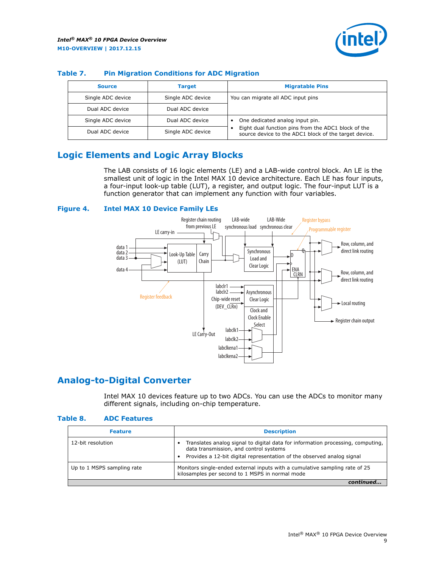

| <b>Source</b>     | Target            | <b>Migratable Pins</b>                                                                                       |
|-------------------|-------------------|--------------------------------------------------------------------------------------------------------------|
| Single ADC device | Single ADC device | You can migrate all ADC input pins                                                                           |
| Dual ADC device   | Dual ADC device   |                                                                                                              |
| Single ADC device | Dual ADC device   | One dedicated analog input pin.                                                                              |
| Dual ADC device   | Single ADC device | Eight dual function pins from the ADC1 block of the<br>source device to the ADC1 block of the target device. |

#### <span id="page-8-0"></span>**Table 7. Pin Migration Conditions for ADC Migration**

# **Logic Elements and Logic Array Blocks**

The LAB consists of 16 logic elements (LE) and a LAB-wide control block. An LE is the smallest unit of logic in the Intel MAX 10 device architecture. Each LE has four inputs, a four-input look-up table (LUT), a register, and output logic. The four-input LUT is a function generator that can implement any function with four variables.

#### **Figure 4. Intel MAX 10 Device Family LEs**



### **Analog-to-Digital Converter**

Intel MAX 10 devices feature up to two ADCs. You can use the ADCs to monitor many different signals, including on-chip temperature.

#### **Table 8. ADC Features**

| <b>Feature</b>             | <b>Description</b>                                                                                                                                                                                  |
|----------------------------|-----------------------------------------------------------------------------------------------------------------------------------------------------------------------------------------------------|
| 12-bit resolution          | Translates analog signal to digital data for information processing, computing,<br>data transmission, and control systems<br>Provides a 12-bit digital representation of the observed analog signal |
| Up to 1 MSPS sampling rate | Monitors single-ended external inputs with a cumulative sampling rate of 25<br>kilosamples per second to 1 MSPS in normal mode                                                                      |
|                            |                                                                                                                                                                                                     |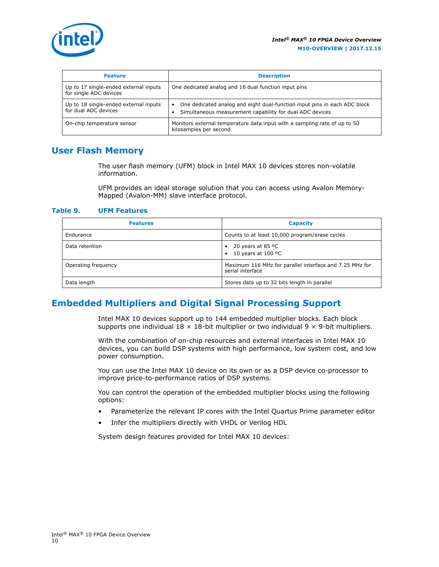<span id="page-9-0"></span>

| <b>Feature</b>                                                  | <b>Description</b>                                                                                                                    |  |
|-----------------------------------------------------------------|---------------------------------------------------------------------------------------------------------------------------------------|--|
| Up to 17 single-ended external inputs<br>for single ADC devices | One dedicated analog and 16 dual function input pins                                                                                  |  |
| Up to 18 single-ended external inputs<br>for dual ADC devices   | One dedicated analog and eight dual-function input pins in each ADC block<br>Simultaneous measurement capability for dual ADC devices |  |
| On-chip temperature sensor                                      | Monitors external temperature data input with a sampling rate of up to 50<br>kilosamples per second                                   |  |

### **User Flash Memory**

The user flash memory (UFM) block in Intel MAX 10 devices stores non-volatile information.

UFM provides an ideal storage solution that you can access using Avalon Memory-Mapped (Avalon-MM) slave interface protocol.

#### **Table 9. UFM Features**

| <b>Features</b>     | <b>Capacity</b>                                                             |
|---------------------|-----------------------------------------------------------------------------|
| Endurance           | Counts to at least 10,000 program/erase cycles                              |
| Data retention      | 20 years at 85 $^{\circ}$ C<br>٠<br>10 years at 100 °C<br>$\bullet$         |
| Operating frequency | Maximum 116 MHz for parallel interface and 7.25 MHz for<br>serial interface |
| Data length         | Stores data up to 32 bits length in parallel                                |

### **Embedded Multipliers and Digital Signal Processing Support**

Intel MAX 10 devices support up to 144 embedded multiplier blocks. Each block supports one individual  $18 \times 18$ -bit multiplier or two individual  $9 \times 9$ -bit multipliers.

With the combination of on-chip resources and external interfaces in Intel MAX 10 devices, you can build DSP systems with high performance, low system cost, and low power consumption.

You can use the Intel MAX 10 device on its own or as a DSP device co-processor to improve price-to-performance ratios of DSP systems.

You can control the operation of the embedded multiplier blocks using the following options:

- Parameterize the relevant IP cores with the Intel Quartus Prime parameter editor
- Infer the multipliers directly with VHDL or Verilog HDL

System design features provided for Intel MAX 10 devices: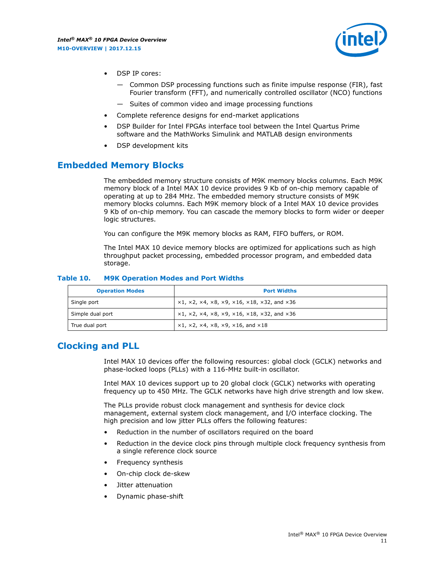

- <span id="page-10-0"></span>DSP IP cores:
	- Common DSP processing functions such as finite impulse response (FIR), fast Fourier transform (FFT), and numerically controlled oscillator (NCO) functions
	- Suites of common video and image processing functions
- Complete reference designs for end-market applications
- DSP Builder for Intel FPGAs interface tool between the Intel Quartus Prime software and the MathWorks Simulink and MATLAB design environments
- DSP development kits

### **Embedded Memory Blocks**

The embedded memory structure consists of M9K memory blocks columns. Each M9K memory block of a Intel MAX 10 device provides 9 Kb of on-chip memory capable of operating at up to 284 MHz. The embedded memory structure consists of M9K memory blocks columns. Each M9K memory block of a Intel MAX 10 device provides 9 Kb of on-chip memory. You can cascade the memory blocks to form wider or deeper logic structures.

You can configure the M9K memory blocks as RAM, FIFO buffers, or ROM.

The Intel MAX 10 device memory blocks are optimized for applications such as high throughput packet processing, embedded processor program, and embedded data storage.

| <b>Operation Modes</b> | <b>Port Widths</b>                                                            |
|------------------------|-------------------------------------------------------------------------------|
| Single port            | $x1, x2, x4, x8, x9, x16, x18, x32, and x36$                                  |
| Simple dual port       | $x1, x2, x4, x8, x9, x16, x18, x32, and x36$                                  |
| True dual port         | $\times1, \times2, \times4, \times8, \times9, \times16, \text{and } \times18$ |

#### **Table 10. M9K Operation Modes and Port Widths**

### **Clocking and PLL**

Intel MAX 10 devices offer the following resources: global clock (GCLK) networks and phase-locked loops (PLLs) with a 116-MHz built-in oscillator.

Intel MAX 10 devices support up to 20 global clock (GCLK) networks with operating frequency up to 450 MHz. The GCLK networks have high drive strength and low skew.

The PLLs provide robust clock management and synthesis for device clock management, external system clock management, and I/O interface clocking. The high precision and low jitter PLLs offers the following features:

- Reduction in the number of oscillators required on the board
- Reduction in the device clock pins through multiple clock frequency synthesis from a single reference clock source
- Frequency synthesis
- On-chip clock de-skew
- Jitter attenuation
- Dynamic phase-shift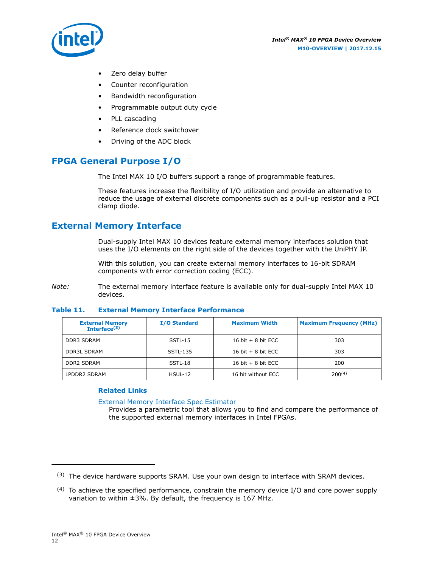

<span id="page-11-0"></span>

- Zero delay buffer
- Counter reconfiguration
- Bandwidth reconfiguration
- Programmable output duty cycle
- PLL cascading
- Reference clock switchover
- Driving of the ADC block

# **FPGA General Purpose I/O**

The Intel MAX 10 I/O buffers support a range of programmable features.

These features increase the flexibility of I/O utilization and provide an alternative to reduce the usage of external discrete components such as a pull-up resistor and a PCI clamp diode.

### **External Memory Interface**

Dual-supply Intel MAX 10 devices feature external memory interfaces solution that uses the I/O elements on the right side of the devices together with the UniPHY IP.

With this solution, you can create external memory interfaces to 16-bit SDRAM components with error correction coding (ECC).

*Note:* The external memory interface feature is available only for dual-supply Intel MAX 10 devices.

#### **Table 11. External Memory Interface Performance**

| <b>External Memory</b><br>Interface $(3)$ | <b>I/O Standard</b> | <b>Maximum Width</b> | <b>Maximum Frequency (MHz)</b> |
|-------------------------------------------|---------------------|----------------------|--------------------------------|
| <b>DDR3 SDRAM</b>                         | SSTL-15             | 16 bit $+8$ bit ECC  | 303                            |
| DDR3L SDRAM                               | SSTL-135            | 16 bit $+8$ bit ECC  | 303                            |
| <b>DDR2 SDRAM</b>                         | SSTL-18             | 16 bit $+8$ bit ECC  | 200                            |
| LPDDR2 SDRAM                              | $H SUL-12$          | 16 bit without ECC   | $200^{(4)}$                    |

### **Related Links**

[External Memory Interface Spec Estimator](http://www.altera.com/technology/memory/estimator/mem-emif-index.html)

Provides a parametric tool that allows you to find and compare the performance of the supported external memory interfaces in Intel FPGAs.

 $(3)$  The device hardware supports SRAM. Use your own design to interface with SRAM devices.

 $(4)$  To achieve the specified performance, constrain the memory device I/O and core power supply variation to within ±3%. By default, the frequency is 167 MHz.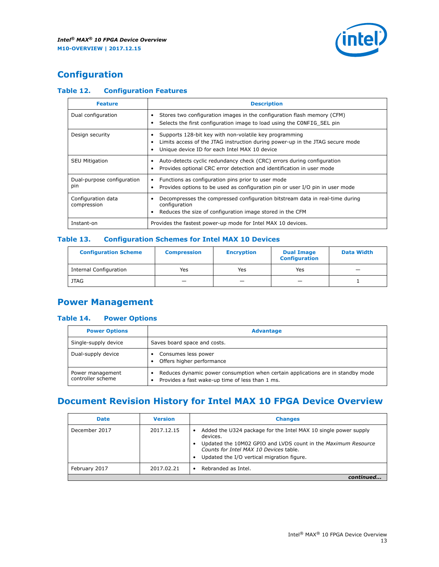

# <span id="page-12-0"></span>**Configuration**

### **Table 12. Configuration Features**

| <b>Feature</b>                    | <b>Description</b>                                                                                                                                                                       |  |  |
|-----------------------------------|------------------------------------------------------------------------------------------------------------------------------------------------------------------------------------------|--|--|
| Dual configuration                | Stores two configuration images in the configuration flash memory (CFM)<br>Selects the first configuration image to load using the CONFIG SEL pin                                        |  |  |
| Design security                   | Supports 128-bit key with non-volatile key programming<br>Limits access of the JTAG instruction during power-up in the JTAG secure mode<br>Unique device ID for each Intel MAX 10 device |  |  |
| <b>SEU Mitigation</b>             | Auto-detects cyclic redundancy check (CRC) errors during configuration<br>Provides optional CRC error detection and identification in user mode                                          |  |  |
| Dual-purpose configuration<br>pin | Functions as configuration pins prior to user mode<br>Provides options to be used as configuration pin or user I/O pin in user mode                                                      |  |  |
| Configuration data<br>compression | Decompresses the compressed configuration bitstream data in real-time during<br>configuration<br>Reduces the size of configuration image stored in the CFM                               |  |  |
| Instant-on                        | Provides the fastest power-up mode for Intel MAX 10 devices.                                                                                                                             |  |  |

#### **Table 13. Configuration Schemes for Intel MAX 10 Devices**

| <b>Configuration Scheme</b> | <b>Compression</b> | <b>Encryption</b> | <b>Dual Image</b><br><b>Configuration</b> | <b>Data Width</b> |
|-----------------------------|--------------------|-------------------|-------------------------------------------|-------------------|
| Internal Configuration      | Yes                | Yes               | Yes                                       |                   |
| <b>JTAG</b>                 | _                  |                   | -                                         |                   |

# **Power Management**

### **Table 14. Power Options**

| <b>Power Options</b>                  | <b>Advantage</b>                                                                                                                        |  |
|---------------------------------------|-----------------------------------------------------------------------------------------------------------------------------------------|--|
| Single-supply device                  | Saves board space and costs.                                                                                                            |  |
| Dual-supply device                    | Consumes less power<br>Offers higher performance<br>$\bullet$                                                                           |  |
| Power management<br>controller scheme | Reduces dynamic power consumption when certain applications are in standby mode<br>Provides a fast wake-up time of less than 1 ms.<br>٠ |  |

# **Document Revision History for Intel MAX 10 FPGA Device Overview**

| <b>Date</b>   | <b>Version</b> | <b>Changes</b>                                                                                                                                                                                                                       |
|---------------|----------------|--------------------------------------------------------------------------------------------------------------------------------------------------------------------------------------------------------------------------------------|
| December 2017 | 2017.12.15     | Added the U324 package for the Intel MAX 10 single power supply<br>devices.<br>Updated the 10M02 GPIO and LVDS count in the Maximum Resource<br>Counts for Intel MAX 10 Devices table.<br>Updated the I/O vertical migration figure. |
| February 2017 | 2017.02.21     | Rebranded as Intel.                                                                                                                                                                                                                  |
|               |                |                                                                                                                                                                                                                                      |